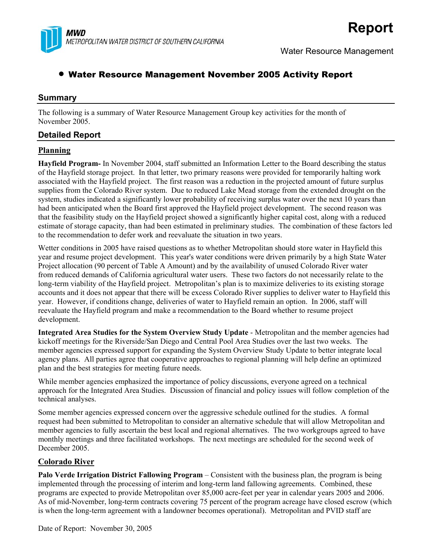

# • Water Resource Management November 2005 Activity Report

# **Summary**

The following is a summary of Water Resource Management Group key activities for the month of November 2005.

# **Detailed Report**

#### **Planning**

**Hayfield Program-** In November 2004, staff submitted an Information Letter to the Board describing the status of the Hayfield storage project. In that letter, two primary reasons were provided for temporarily halting work associated with the Hayfield project. The first reason was a reduction in the projected amount of future surplus supplies from the Colorado River system. Due to reduced Lake Mead storage from the extended drought on the system, studies indicated a significantly lower probability of receiving surplus water over the next 10 years than had been anticipated when the Board first approved the Hayfield project development. The second reason was that the feasibility study on the Hayfield project showed a significantly higher capital cost, along with a reduced estimate of storage capacity, than had been estimated in preliminary studies. The combination of these factors led to the recommendation to defer work and reevaluate the situation in two years.

Wetter conditions in 2005 have raised questions as to whether Metropolitan should store water in Hayfield this year and resume project development. This year's water conditions were driven primarily by a high State Water Project allocation (90 percent of Table A Amount) and by the availability of unused Colorado River water from reduced demands of California agricultural water users. These two factors do not necessarily relate to the long-term viability of the Hayfield project. Metropolitan's plan is to maximize deliveries to its existing storage accounts and it does not appear that there will be excess Colorado River supplies to deliver water to Hayfield this year. However, if conditions change, deliveries of water to Hayfield remain an option. In 2006, staff will reevaluate the Hayfield program and make a recommendation to the Board whether to resume project development.

**Integrated Area Studies for the System Overview Study Update** - Metropolitan and the member agencies had kickoff meetings for the Riverside/San Diego and Central Pool Area Studies over the last two weeks. The member agencies expressed support for expanding the System Overview Study Update to better integrate local agency plans. All parties agree that cooperative approaches to regional planning will help define an optimized plan and the best strategies for meeting future needs.

While member agencies emphasized the importance of policy discussions, everyone agreed on a technical approach for the Integrated Area Studies. Discussion of financial and policy issues will follow completion of the technical analyses.

Some member agencies expressed concern over the aggressive schedule outlined for the studies. A formal request had been submitted to Metropolitan to consider an alternative schedule that will allow Metropolitan and member agencies to fully ascertain the best local and regional alternatives. The two workgroups agreed to have monthly meetings and three facilitated workshops. The next meetings are scheduled for the second week of December 2005.

# **Colorado River**

**Palo Verde Irrigation District Fallowing Program** – Consistent with the business plan, the program is being implemented through the processing of interim and long-term land fallowing agreements. Combined, these programs are expected to provide Metropolitan over 85,000 acre-feet per year in calendar years 2005 and 2006. As of mid-November, long-term contracts covering 75 percent of the program acreage have closed escrow (which is when the long-term agreement with a landowner becomes operational). Metropolitan and PVID staff are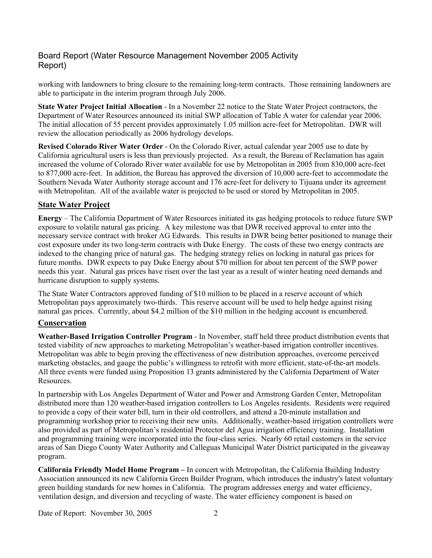# Board Report (Water Resource Management November 2005 Activity Report)

working with landowners to bring closure to the remaining long-term contracts. Those remaining landowners are able to participate in the interim program through July 2006.

**State Water Project Initial Allocation** - In a November 22 notice to the State Water Project contractors, the Department of Water Resources announced its initial SWP allocation of Table A water for calendar year 2006. The initial allocation of 55 percent provides approximately 1.05 million acre-feet for Metropolitan. DWR will review the allocation periodically as 2006 hydrology develops.

**Revised Colorado River Water Order** - On the Colorado River, actual calendar year 2005 use to date by California agricultural users is less than previously projected. As a result, the Bureau of Reclamation has again increased the volume of Colorado River water available for use by Metropolitan in 2005 from 830,000 acre-feet to 877,000 acre-feet. In addition, the Bureau has approved the diversion of 10,000 acre-feet to accommodate the Southern Nevada Water Authority storage account and 176 acre-feet for delivery to Tijuana under its agreement with Metropolitan. All of the available water is projected to be used or stored by Metropolitan in 2005.

# **State Water Project**

**Energy** – The California Department of Water Resources initiated its gas hedging protocols to reduce future SWP exposure to volatile natural gas pricing. A key milestone was that DWR received approval to enter into the necessary service contract with broker AG Edwards. This results in DWR being better positioned to manage their cost exposure under its two long-term contracts with Duke Energy. The costs of these two energy contracts are indexed to the changing price of natural gas. The hedging strategy relies on locking in natural gas prices for future months. DWR expects to pay Duke Energy about \$70 million for about ten percent of the SWP power needs this year. Natural gas prices have risen over the last year as a result of winter heating need demands and hurricane disruption to supply systems.

The State Water Contractors approved funding of \$10 million to be placed in a reserve account of which Metropolitan pays approximately two-thirds. This reserve account will be used to help hedge against rising natural gas prices. Currently, about \$4.2 million of the \$10 million in the hedging account is encumbered.

# **Conservation**

**Weather-Based Irrigation Controller Program** - In November, staff held three product distribution events that tested viability of new approaches to marketing Metropolitan's weather-based irrigation controller incentives. Metropolitan was able to begin proving the effectiveness of new distribution approaches, overcome perceived marketing obstacles, and gauge the public's willingness to retrofit with more efficient, state-of-the-art models. All three events were funded using Proposition 13 grants administered by the California Department of Water Resources.

In partnership with Los Angeles Department of Water and Power and Armstrong Garden Center, Metropolitan distributed more than 120 weather-based irrigation controllers to Los Angeles residents. Residents were required to provide a copy of their water bill, turn in their old controllers, and attend a 20-minute installation and programming workshop prior to receiving their new units. Additionally, weather-based irrigation controllers were also provided as part of Metropolitan's residential Protector del Agua irrigation efficiency training. Installation and programming training were incorporated into the four-class series. Nearly 60 retail customers in the service areas of San Diego County Water Authority and Calleguas Municipal Water District participated in the giveaway program.

**California Friendly Model Home Program –** In concert with Metropolitan, the California Building Industry Association announced its new California Green Builder Program, which introduces the industry's latest voluntary green building standards for new homes in California. The program addresses energy and water efficiency, ventilation design, and diversion and recycling of waste. The water efficiency component is based on

Date of Report: November 30, 2005